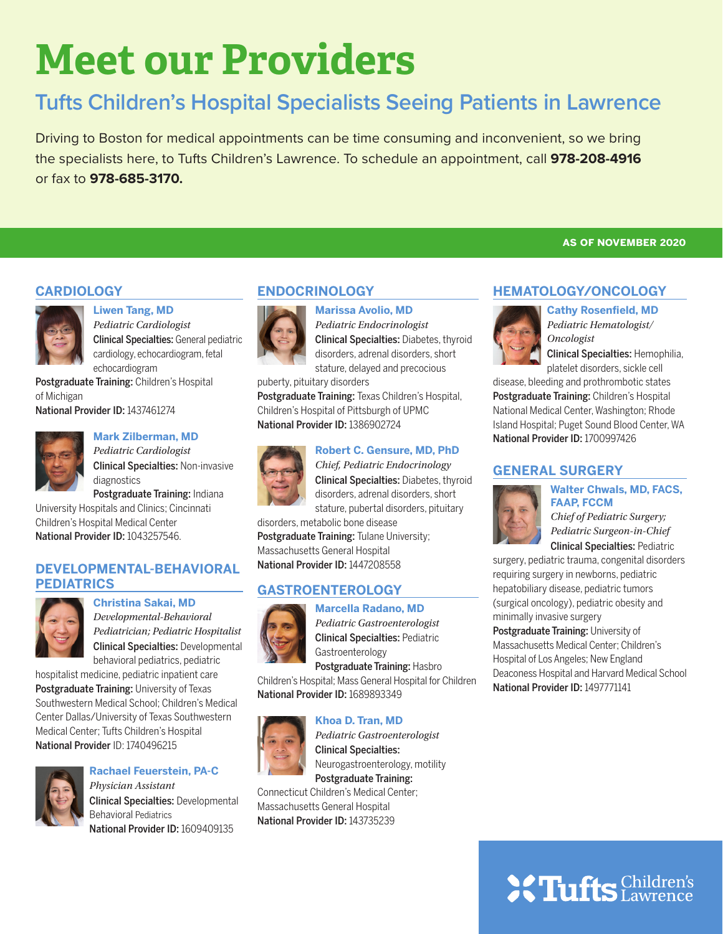# **Meet our Providers**

## **Tufts Children's Hospital Specialists Seeing Patients in Lawrence**

Driving to Boston for medical appointments can be time consuming and inconvenient, so we bring the specialists here, to Tufts Children's Lawrence. To schedule an appointment, call **978-208-4916**  or fax to **978-685-3170.**

#### **CARDIOLOGY**



#### **Liwen Tang, MD** *Pediatric Cardiologist* Clinical Specialties: General pediatric cardiology, echocardiogram, fetal echocardiogram

Postgraduate Training: Children's Hospital of Michigan

National Provider ID: 1437461274



#### **Mark Zilberman, MD** *Pediatric Cardiologist*

Clinical Specialties: Non-invasive diagnostics Postgraduate Training: Indiana University Hospitals and Clinics; Cincinnati

Children's Hospital Medical Center National Provider ID: 1043257546.

#### **DEVELOPMENTAL-BEHAVIORAL PEDIATRICS**



### **Christina Sakai, MD** *Developmental-Behavioral Pediatrician; Pediatric Hospitalist*

Clinical Specialties: Developmental behavioral pediatrics, pediatric

hospitalist medicine, pediatric inpatient care Postgraduate Training: University of Texas Southwestern Medical School; Children's Medical Center Dallas/University of Texas Southwestern Medical Center; Tufts Children's Hospital National Provider ID: 1740496215



#### **Rachael Feuerstein, PA-C**

*Physician Assistant* Clinical Specialties: Developmental Behavioral Pediatrics National Provider ID: 1609409135



**Marissa Avolio, MD** *Pediatric Endocrinologist*

Clinical Specialties: Diabetes, thyroid disorders, adrenal disorders, short stature, delayed and precocious

puberty, pituitary disorders Postgraduate Training: Texas Children's Hospital,

#### Children's Hospital of Pittsburgh of UPMC National Provider ID: 1386902724



**Robert C. Gensure, MD, PhD** *Chief, Pediatric Endocrinology*



disorders, metabolic bone disease Postgraduate Training: Tulane University; Massachusetts General Hospital

National Provider ID: 1447208558

### **GASTROENTEROLOGY**



**Marcella Radano, MD** *Pediatric Gastroenterologist* Clinical Specialties: Pediatric

Gastroenterology Postgraduate Training: Hasbro

Children's Hospital; Mass General Hospital for Children National Provider ID: 1689893349



**Khoa D. Tran, MD** *Pediatric Gastroenterologist* Clinical Specialties: Neurogastroenterology, motility Postgraduate Training:

Connecticut Children's Medical Center; Massachusetts General Hospital National Provider ID: 143735239

**as of november 2020**

#### **HEMATOLOGY/ONCOLOGY**



**Cathy Rosenfield, MD** *Pediatric Hematologist/ Oncologist*

Clinical Specialties: Hemophilia, platelet disorders, sickle cell

disease, bleeding and prothrombotic states Postgraduate Training: Children's Hospital National Medical Center, Washington; Rhode Island Hospital; Puget Sound Blood Center, WA National Provider ID: 1700997426

### **GENERAL SURGERY**



**FAAP, FCCM** *Chief of Pediatric Surgery; Pediatric Surgeon-in-Chief*

**Walter Chwals, MD, FACS,** 

Clinical Specialties: Pediatric

surgery, pediatric trauma, congenital disorders requiring surgery in newborns, pediatric hepatobiliary disease, pediatric tumors (surgical oncology), pediatric obesity and minimally invasive surgery

Postgraduate Training: University of Massachusetts Medical Center; Children's Hospital of Los Angeles; New England Deaconess Hospital and Harvard Medical School National Provider ID: 1497771141

# **SC Tufts** Children's